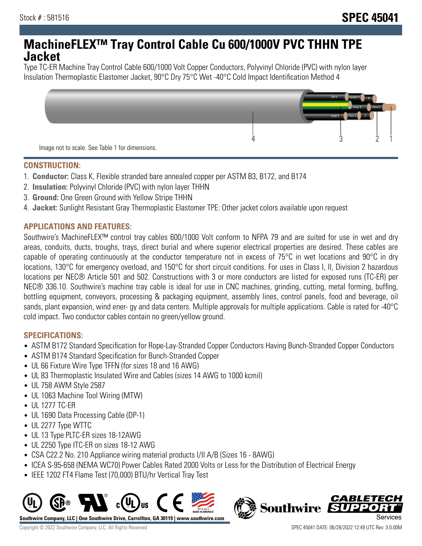# **MachineFLEX™ Tray Control Cable Cu 600/1000V PVC THHN TPE Jacket**

Type TC-ER Machine Tray Control Cable 600/1000 Volt Copper Conductors, Polyvinyl Chloride (PVC) with nylon layer Insulation Thermoplastic Elastomer Jacket, 90°C Dry 75°C Wet -40°C Cold Impact Identification Method 4



#### **CONSTRUCTION:**

- 1. **Conductor:** Class K, Flexible stranded bare annealed copper per ASTM B3, B172, and B174
- 2. **Insulation:** Polyvinyl Chloride (PVC) with nylon layer THHN
- 3. **Ground:** One Green Ground with Yellow Stripe THHN
- 4. **Jacket:** Sunlight Resistant Gray Thermoplastic Elastomer TPE: Other jacket colors available upon request

## **APPLICATIONS AND FEATURES:**

Southwire's MachineFLEX™ control tray cables 600/1000 Volt conform to NFPA 79 and are suited for use in wet and dry areas, conduits, ducts, troughs, trays, direct burial and where superior electrical properties are desired. These cables are capable of operating continuously at the conductor temperature not in excess of 75°C in wet locations and 90°C in dry locations, 130°C for emergency overload, and 150°C for short circuit conditions. For uses in Class I, II, Division 2 hazardous locations per NEC® Article 501 and 502. Constructions with 3 or more conductors are listed for exposed runs (TC-ER) per NEC® 336.10. Southwire's machine tray cable is ideal for use in CNC machines, grinding, cutting, metal forming, buffing, bottling equipment, conveyors, processing & packaging equipment, assembly lines, control panels, food and beverage, oil sands, plant expansion, wind ener- gy and data centers. Multiple approvals for multiple applications. Cable is rated for -40°C cold impact. Two conductor cables contain no green/yellow ground.

## **SPECIFICATIONS:**

- ASTM B172 Standard Specification for Rope-Lay-Stranded Copper Conductors Having Bunch-Stranded Copper Conductors
- ASTM B174 Standard Specification for Bunch-Stranded Copper
- UL 66 Fixture Wire Type TFFN (for sizes 18 and 16 AWG)
- UL 83 Thermoplastic Insulated Wire and Cables (sizes 14 AWG to 1000 kcmil)
- UL 758 AWM Style 2587
- UL 1063 Machine Tool Wiring (MTW)
- UL 1277 TC-ER
- UL 1690 Data Processing Cable (DP-1)
- UL 2277 Type WTTC
- UL 13 Type PLTC-ER sizes 18-12AWG
- UL 2250 Type ITC-ER on sizes 18-12 AWG
- CSA C22.2 No. 210 Appliance wiring material products I/II A/B (Sizes 16 8AWG)
- ICEA S-95-658 (NEMA WC70) Power Cables Rated 2000 Volts or Less for the Distribution of Electrical Energy
- IEEE 1202 FT4 Flame Test (70,000) BTU/hr Vertical Tray Test



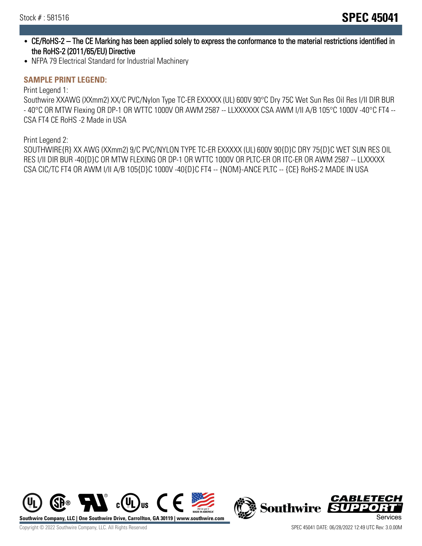- CE/RoHS-2 The CE Marking has been applied solely to express the conformance to the material restrictions identified in the RoHS-2 (2011/65/EU) Directive
- NFPA 79 Electrical Standard for Industrial Machinery

#### **SAMPLE PRINT LEGEND:**

Print Legend 1:

Southwire XXAWG (XXmm2) XX/C PVC/Nylon Type TC-ER EXXXXX (UL) 600V 90°C Dry 75C Wet Sun Res Oil Res I/II DIR BUR - 40°C OR MTW Flexing OR DP-1 OR WTTC 1000V OR AWM 2587 -- LLXXXXXX CSA AWM I/II A/B 105°C 1000V -40°C FT4 -- CSA FT4 CE RoHS -2 Made in USA

Print Legend 2:

SOUTHWIRE{R} XX AWG (XXmm2) 9/C PVC/NYLON TYPE TC-ER EXXXXX (UL) 600V 90{D}C DRY 75{D}C WET SUN RES OIL RES I/II DIR BUR -40{D}C OR MTW FLEXING OR DP-1 OR WTTC 1000V OR PLTC-ER OR ITC-ER OR AWM 2587 -- LLXXXXX CSA CIC/TC FT4 OR AWM I/II A/B 105{D}C 1000V -40{D}C FT4 -- {NOM}-ANCE PLTC -- {CE} RoHS-2 MADE IN USA



CABLETECH **Southwire** п. FЛ